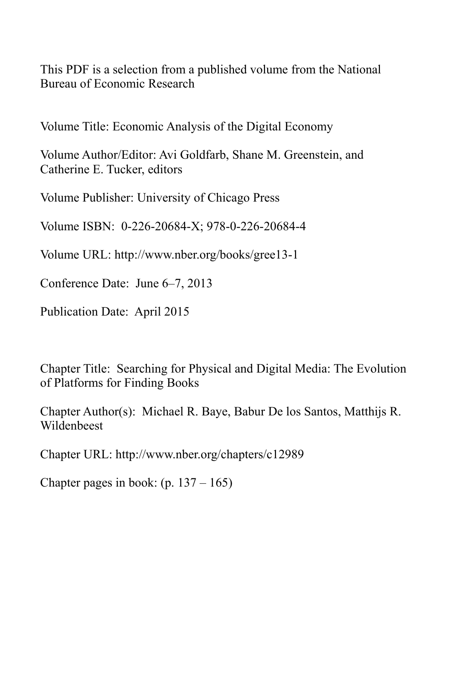This PDF is a selection from a published volume from the National Bureau of Economic Research

Volume Title: Economic Analysis of the Digital Economy

Volume Author/Editor: Avi Goldfarb, Shane M. Greenstein, and Catherine E. Tucker, editors

Volume Publisher: University of Chicago Press

Volume ISBN: 0-226-20684-X; 978-0-226-20684-4

Volume URL: http://www.nber.org/books/gree13-1

Conference Date: June 6–7, 2013

Publication Date: April 2015

Chapter Title: Searching for Physical and Digital Media: The Evolution of Platforms for Finding Books

Chapter Author(s): Michael R. Baye, Babur De los Santos, Matthijs R. Wildenbeest

Chapter URL: http://www.nber.org/chapters/c12989

Chapter pages in book:  $(p. 137 - 165)$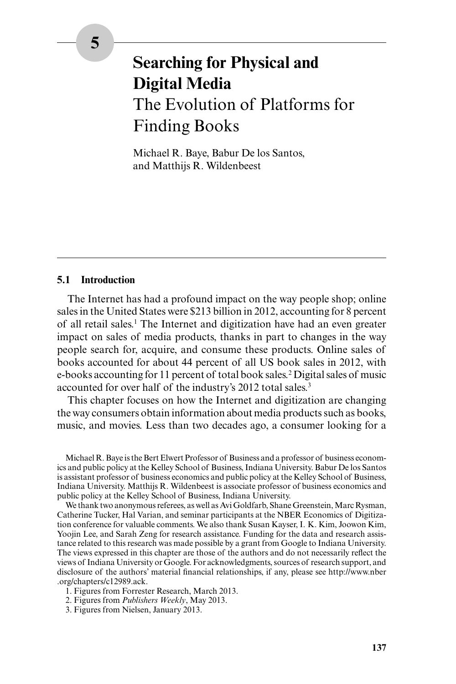# **Searching for Physical and Digital Media** The Evolution of Platforms for Finding Books

Michael R. Baye, Babur De los Santos, and Matthijs R. Wildenbeest

## **5.1 Introduction**

The Internet has had a profound impact on the way people shop; online sales in the United States were \$213 billion in 2012, accounting for 8 percent of all retail sales.<sup>1</sup> The Internet and digitization have had an even greater impact on sales of media products, thanks in part to changes in the way people search for, acquire, and consume these products. Online sales of books accounted for about 44 percent of all US book sales in 2012, with e-books accounting for 11 percent of total book sales.<sup>2</sup> Digital sales of music accounted for over half of the industry's 2012 total sales.<sup>3</sup>

This chapter focuses on how the Internet and digitization are changing the way consumers obtain information about media products such as books, music, and movies. Less than two decades ago, a consumer looking for a

Michael R. Baye is the Bert Elwert Professor of Business and a professor of business economics and public policy at the Kelley School of Business, Indiana University. Babur De los Santos is assistant professor of business economics and public policy at the Kelley School of Business, Indiana University. Matthijs R. Wildenbeest is associate professor of business economics and public policy at the Kelley School of Business, Indiana University.

We thank two anonymous referees, as well as Avi Goldfarb, Shane Greenstein, Marc Rysman, Catherine Tucker, Hal Varian, and seminar participants at the NBER Economics of Digitization conference for valuable comments. We also thank Susan Kayser, I. K. Kim, Joowon Kim, Yoojin Lee, and Sarah Zeng for research assistance. Funding for the data and research assistance related to this research was made possible by a grant from Google to Indiana University. The views expressed in this chapter are those of the authors and do not necessarily reflect the views of Indiana University or Google. For acknowledgments, sources of research support, and disclosure of the authors' material financial relationships, if any, please see http://www.nber .org/chapters/c12989.ack.

- 1. Figures from Forrester Research, March 2013.
- 2. Figures from *Publishers Weekly*, May 2013.
- 3. Figures from Nielsen, January 2013.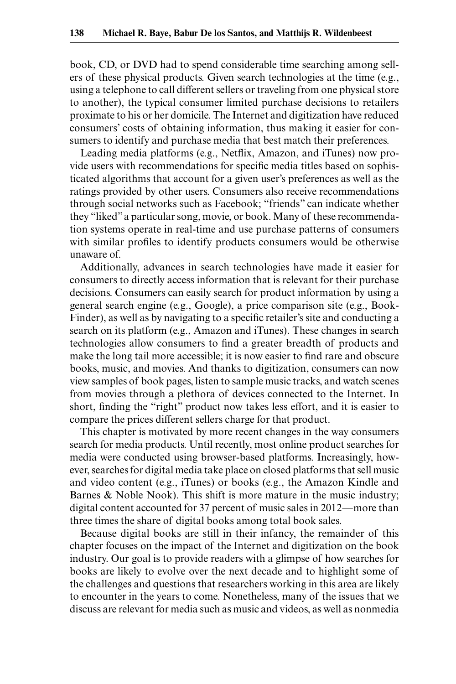book, CD, or DVD had to spend considerable time searching among sellers of these physical products. Given search technologies at the time (e.g., using a telephone to call different sellers or traveling from one physical store to another), the typical consumer limited purchase decisions to retailers proximate to his or her domicile. The Internet and digitization have reduced consumers' costs of obtaining information, thus making it easier for consumers to identify and purchase media that best match their preferences.

Leading media platforms (e.g., Netflix, Amazon, and iTunes) now provide users with recommendations for specific media titles based on sophisticated algorithms that account for a given user's preferences as well as the ratings provided by other users. Consumers also receive recommendations through social networks such as Facebook; "friends" can indicate whether they "liked" a particular song, movie, or book. Many of these recommendation systems operate in real-time and use purchase patterns of consumers with similar profiles to identify products consumers would be otherwise unaware of.

Additionally, advances in search technologies have made it easier for consumers to directly access information that is relevant for their purchase decisions. Consumers can easily search for product information by using a general search engine (e.g., Google), a price comparison site (e.g., Book-Finder), as well as by navigating to a specific retailer's site and conducting a search on its platform (e.g., Amazon and iTunes). These changes in search technologies allow consumers to find a greater breadth of products and make the long tail more accessible; it is now easier to find rare and obscure books, music, and movies. And thanks to digitization, consumers can now view samples of book pages, listen to sample music tracks, and watch scenes from movies through a plethora of devices connected to the Internet. In short, finding the "right" product now takes less effort, and it is easier to compare the prices different sellers charge for that product.

This chapter is motivated by more recent changes in the way consumers search for media products. Until recently, most online product searches for media were conducted using browser-based platforms. Increasingly, however, searches for digital media take place on closed platforms that sell music and video content (e.g., iTunes) or books (e.g., the Amazon Kindle and Barnes & Noble Nook). This shift is more mature in the music industry; digital content accounted for 37 percent of music sales in 2012—more than three times the share of digital books among total book sales.

Because digital books are still in their infancy, the remainder of this chapter focuses on the impact of the Internet and digitization on the book industry. Our goal is to provide readers with a glimpse of how searches for books are likely to evolve over the next decade and to highlight some of the challenges and questions that researchers working in this area are likely to encounter in the years to come. Nonetheless, many of the issues that we discuss are relevant for media such as music and videos, as well as nonmedia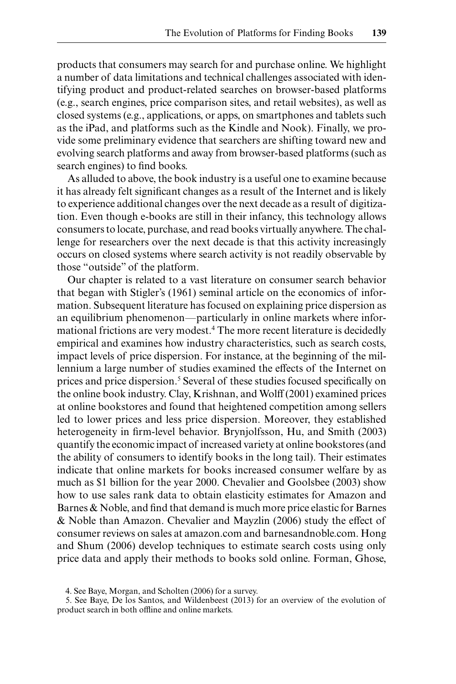products that consumers may search for and purchase online. We highlight a number of data limitations and technical challenges associated with identifying product and product-related searches on browser-based platforms (e.g., search engines, price comparison sites, and retail websites), as well as closed systems (e.g., applications, or apps, on smartphones and tablets such as the iPad, and platforms such as the Kindle and Nook). Finally, we provide some preliminary evidence that searchers are shifting toward new and evolving search platforms and away from browser-based platforms (such as search engines) to find books.

As alluded to above, the book industry is a useful one to examine because it has already felt significant changes as a result of the Internet and is likely to experience additional changes over the next decade as a result of digitization. Even though e-books are still in their infancy, this technology allows consumers to locate, purchase, and read books virtually anywhere. The challenge for researchers over the next decade is that this activity increasingly occurs on closed systems where search activity is not readily observable by those "outside" of the platform.

Our chapter is related to a vast literature on consumer search behavior that began with Stigler's (1961) seminal article on the economics of information. Subsequent literature has focused on explaining price dispersion as an equilibrium phenomenon—particularly in online markets where informational frictions are very modest.4 The more recent literature is decidedly empirical and examines how industry characteristics, such as search costs, impact levels of price dispersion. For instance, at the beginning of the millennium a large number of studies examined the effects of the Internet on prices and price dispersion.<sup>5</sup> Several of these studies focused specifically on the online book industry. Clay, Krishnan, and Wolff (2001) examined prices at online bookstores and found that heightened competition among sellers led to lower prices and less price dispersion. Moreover, they established heterogeneity in firm-level behavior. Brynjolfsson, Hu, and Smith (2003) quantify the economic impact of increased variety at online bookstores (and the ability of consumers to identify books in the long tail). Their estimates indicate that online markets for books increased consumer welfare by as much as \$1 billion for the year 2000. Chevalier and Goolsbee (2003) show how to use sales rank data to obtain elasticity estimates for Amazon and Barnes & Noble, and find that demand is much more price elastic for Barnes & Noble than Amazon. Chevalier and Mayzlin (2006) study the effect of consumer reviews on sales at amazon.com and barnesandnoble.com. Hong and Shum (2006) develop techniques to estimate search costs using only price data and apply their methods to books sold online. Forman, Ghose,

<sup>4.</sup> See Baye, Morgan, and Scholten (2006) for a survey.

<sup>5.</sup> See Baye, De los Santos, and Wildenbeest (2013) for an overview of the evolution of product search in both offline and online markets.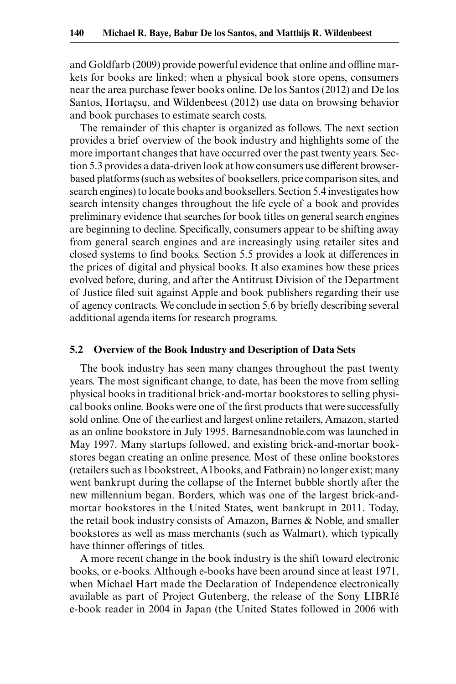and Goldfarb (2009) provide powerful evidence that online and offline markets for books are linked: when a physical book store opens, consumers near the area purchase fewer books online. De los Santos (2012) and De los Santos, Hortaçsu, and Wildenbeest (2012) use data on browsing behavior and book purchases to estimate search costs.

The remainder of this chapter is organized as follows. The next section provides a brief overview of the book industry and highlights some of the more important changes that have occurred over the past twenty years. Section 5.3 provides a data-driven look at how consumers use different browserbased platforms (such as websites of booksellers, price comparison sites, and search engines) to locate books and booksellers. Section 5.4 investigates how search intensity changes throughout the life cycle of a book and provides preliminary evidence that searches for book titles on general search engines are beginning to decline. Specifically, consumers appear to be shifting away from general search engines and are increasingly using retailer sites and closed systems to find books. Section 5.5 provides a look at differences in the prices of digital and physical books. It also examines how these prices evolved before, during, and after the Antitrust Division of the Department of Justice filed suit against Apple and book publishers regarding their use of agency contracts. We conclude in section 5.6 by briefly describing several additional agenda items for research programs.

## **5.2 Overview of the Book Industry and Description of Data Sets**

The book industry has seen many changes throughout the past twenty years. The most significant change, to date, has been the move from selling physical books in traditional brick-and-mortar bookstores to selling physical books online. Books were one of the first products that were successfully sold online. One of the earliest and largest online retailers, Amazon, started as an online bookstore in July 1995. Barnesandnoble.com was launched in May 1997. Many startups followed, and existing brick-and-mortar bookstores began creating an online presence. Most of these online bookstores (retailers such as 1bookstreet, A1books, and Fatbrain) no longer exist; many went bankrupt during the collapse of the Internet bubble shortly after the new millennium began. Borders, which was one of the largest brick-andmortar bookstores in the United States, went bankrupt in 2011. Today, the retail book industry consists of Amazon, Barnes & Noble, and smaller bookstores as well as mass merchants (such as Walmart), which typically have thinner offerings of titles.

A more recent change in the book industry is the shift toward electronic books, or e-books. Although e-books have been around since at least 1971, when Michael Hart made the Declaration of Independence electronically available as part of Project Gutenberg, the release of the Sony LIBRIé e-book reader in 2004 in Japan (the United States followed in 2006 with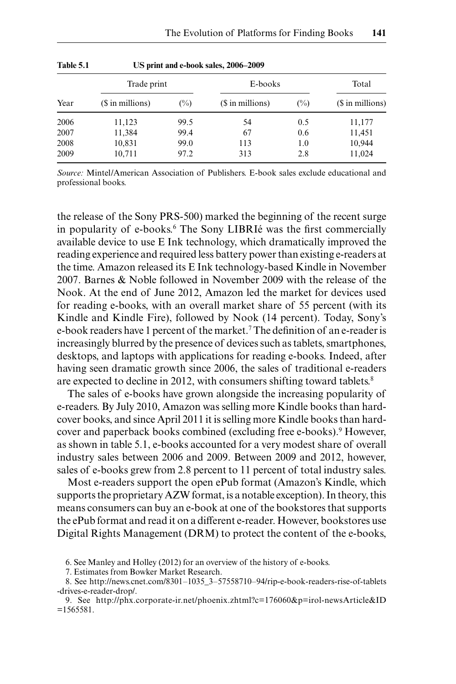| Table 5.1<br>Year | US print and e-book sales, 2006–2009 |        |                  |        |                  |  |  |  |  |
|-------------------|--------------------------------------|--------|------------------|--------|------------------|--|--|--|--|
|                   | Trade print                          |        | E-books          | Total  |                  |  |  |  |  |
|                   | (\$ in millions)                     | $(\%)$ | (\$ in millions) | $(\%)$ | (\$ in millions) |  |  |  |  |
| 2006              | 11,123                               | 99.5   | 54               | 0.5    | 11,177           |  |  |  |  |
| 2007              | 11,384                               | 99.4   | 67               | 0.6    | 11,451           |  |  |  |  |
| 2008              | 10,831                               | 99.0   | 113              | 1.0    | 10,944           |  |  |  |  |
| 2009              | 10,711                               | 97.2   | 313              | 2.8    | 11,024           |  |  |  |  |

*Source:* Mintel/American Association of Publishers. E-book sales exclude educational and professional books.

the release of the Sony PRS-500) marked the beginning of the recent surge in popularity of e-books.6 The Sony LIBRIé was the first commercially available device to use E Ink technology, which dramatically improved the reading experience and required less battery power than existing e-readers at the time. Amazon released its E Ink technology-based Kindle in November 2007. Barnes & Noble followed in November 2009 with the release of the Nook. At the end of June 2012, Amazon led the market for devices used for reading e-books, with an overall market share of 55 percent (with its Kindle and Kindle Fire), followed by Nook (14 percent). Today, Sony's e-book readers have 1 percent of the market.<sup>7</sup> The definition of an e-reader is increasingly blurred by the presence of devices such as tablets, smartphones, desktops, and laptops with applications for reading e-books. Indeed, after having seen dramatic growth since 2006, the sales of traditional e-readers are expected to decline in 2012, with consumers shifting toward tablets.<sup>8</sup>

The sales of e-books have grown alongside the increasing popularity of e-readers. By July 2010, Amazon was selling more Kindle books than hardcover books, and since April 2011 it is selling more Kindle books than hardcover and paperback books combined (excluding free e-books).<sup>9</sup> However, as shown in table 5.1, e-books accounted for a very modest share of overall industry sales between 2006 and 2009. Between 2009 and 2012, however, sales of e-books grew from 2.8 percent to 11 percent of total industry sales.

Most e-readers support the open ePub format (Amazon's Kindle, which supports the proprietary AZW format, is a notable exception). In theory, this means consumers can buy an e-book at one of the bookstores that supports the ePub format and read it on a different e-reader. However, bookstores use Digital Rights Management (DRM) to protect the content of the e-books,

<sup>6.</sup> See Manley and Holley (2012) for an overview of the history of e-books.

<sup>7.</sup> Estimates from Bowker Market Research.

<sup>8.</sup> See http://news.cnet.com/8301–1035\_3–57558710–94/rip-e-book-readers-rise-of-tablets -drives-e-reader-drop/.

<sup>9.</sup> See http://phx.corporate-ir.net/phoenix.zhtml?c=176060&p=irol-newsArticle&ID =1565581.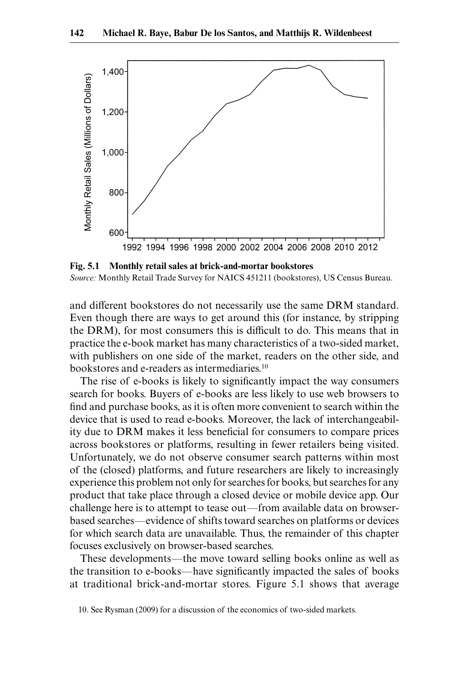

**Fig. 5.1 Monthly retail sales at brick-and-mortar bookstores** *Source:* Monthly Retail Trade Survey for NAICS 451211 (bookstores), US Census Bureau.

and different bookstores do not necessarily use the same DRM standard. Even though there are ways to get around this (for instance, by stripping the DRM), for most consumers this is difficult to do. This means that in practice the e-book market has many characteristics of a two-sided market, with publishers on one side of the market, readers on the other side, and bookstores and e-readers as intermediaries.10

The rise of e-books is likely to significantly impact the way consumers search for books. Buyers of e-books are less likely to use web browsers to find and purchase books, as it is often more convenient to search within the device that is used to read e-books. Moreover, the lack of interchangeability due to DRM makes it less beneficial for consumers to compare prices across bookstores or platforms, resulting in fewer retailers being visited. Unfortunately, we do not observe consumer search patterns within most of the (closed) platforms, and future researchers are likely to increasingly experience this problem not only for searches for books, but searches for any product that take place through a closed device or mobile device app. Our challenge here is to attempt to tease out—from available data on browserbased searches—evidence of shifts toward searches on platforms or devices for which search data are unavailable. Thus, the remainder of this chapter focuses exclusively on browser-based searches.

These developments—the move toward selling books online as well as the transition to e-books—have significantly impacted the sales of books at traditional brick-and-mortar stores. Figure 5.1 shows that average

<sup>10.</sup> See Rysman (2009) for a discussion of the economics of two-sided markets.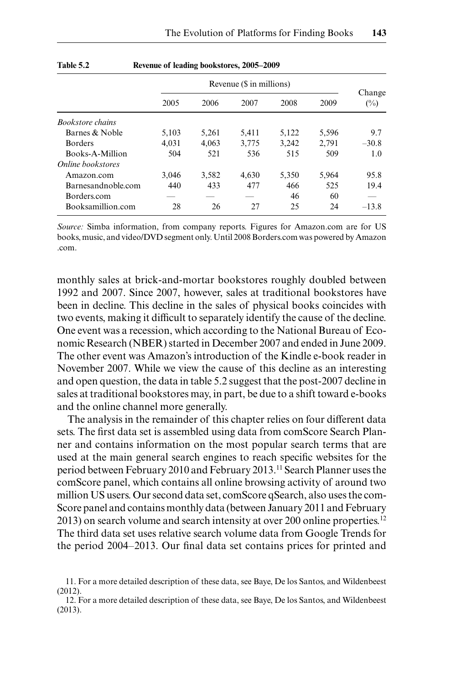|                         | Revenue (\$ in millions) |       |       |       |       |                  |
|-------------------------|--------------------------|-------|-------|-------|-------|------------------|
|                         | 2005                     | 2006  | 2007  | 2008  | 2009  | Change<br>$(\%)$ |
| <b>Bookstore</b> chains |                          |       |       |       |       |                  |
| Barnes & Noble          | 5,103                    | 5,261 | 5,411 | 5,122 | 5,596 | 9.7              |
| <b>Borders</b>          | 4.031                    | 4,063 | 3,775 | 3,242 | 2.791 | $-30.8$          |
| Books-A-Million         | 504                      | 521   | 536   | 515   | 509   | 1.0              |
| Online bookstores       |                          |       |       |       |       |                  |
| Amazon.com              | 3.046                    | 3,582 | 4.630 | 5,350 | 5.964 | 95.8             |
| Barnesandnoble.com      | 440                      | 433   | 477   | 466   | 525   | 19.4             |
| Borders.com             |                          |       |       | 46    | 60    |                  |
| Booksamillion.com       | 28                       | 26    | 27    | 25    | 24    | $-13.8$          |

#### **Table 5.2 Revenue of leading bookstores, 2005–2009**

*Source:* Simba information, from company reports. Figures for Amazon.com are for US books, music, and video/DVD segment only. Until 2008 Borders.com was powered by Amazon .com.

monthly sales at brick-and-mortar bookstores roughly doubled between 1992 and 2007. Since 2007, however, sales at traditional bookstores have been in decline. This decline in the sales of physical books coincides with two events, making it difficult to separately identify the cause of the decline. One event was a recession, which according to the National Bureau of Economic Research (NBER) started in December 2007 and ended in June 2009. The other event was Amazon's introduction of the Kindle e-book reader in November 2007. While we view the cause of this decline as an interesting and open question, the data in table 5.2 suggest that the post-2007 decline in sales at traditional bookstores may, in part, be due to a shift toward e-books and the online channel more generally.

The analysis in the remainder of this chapter relies on four different data sets. The first data set is assembled using data from comScore Search Planner and contains information on the most popular search terms that are used at the main general search engines to reach specific websites for the period between February 2010 and February 2013.11 Search Planner uses the comScore panel, which contains all online browsing activity of around two million US users. Our second data set, comScore qSearch, also uses the com-Score panel and contains monthly data (between January 2011 and February 2013) on search volume and search intensity at over 200 online properties.12 The third data set uses relative search volume data from Google Trends for the period 2004–2013. Our final data set contains prices for printed and

<sup>11.</sup> For a more detailed description of these data, see Baye, De los Santos, and Wildenbeest (2012).

<sup>12.</sup> For a more detailed description of these data, see Baye, De los Santos, and Wildenbeest (2013).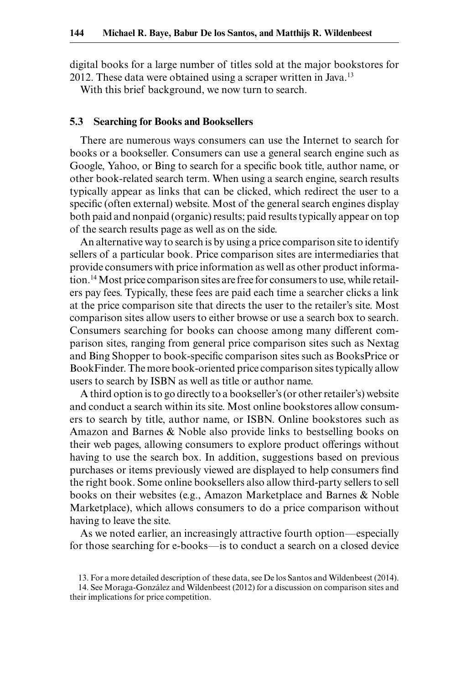digital books for a large number of titles sold at the major bookstores for 2012. These data were obtained using a scraper written in Java.<sup>13</sup>

With this brief background, we now turn to search.

#### **5.3 Searching for Books and Booksellers**

There are numerous ways consumers can use the Internet to search for books or a bookseller. Consumers can use a general search engine such as Google, Yahoo, or Bing to search for a specific book title, author name, or other book-related search term. When using a search engine, search results typically appear as links that can be clicked, which redirect the user to a specific (often external) website. Most of the general search engines display both paid and nonpaid (organic) results; paid results typically appear on top of the search results page as well as on the side.

An alternative way to search is by using a price comparison site to identify sellers of a particular book. Price comparison sites are intermediaries that provide consumers with price information as well as other product information.14 Most price comparison sites are free for consumers to use, while retailers pay fees. Typically, these fees are paid each time a searcher clicks a link at the price comparison site that directs the user to the retailer's site. Most comparison sites allow users to either browse or use a search box to search. Consumers searching for books can choose among many different comparison sites, ranging from general price comparison sites such as Nextag and Bing Shopper to book-specific comparison sites such as BooksPrice or BookFinder. The more book-oriented price comparison sites typically allow users to search by ISBN as well as title or author name.

A third option is to go directly to a bookseller's (or other retailer's) website and conduct a search within its site. Most online bookstores allow consumers to search by title, author name, or ISBN. Online bookstores such as Amazon and Barnes & Noble also provide links to bestselling books on their web pages, allowing consumers to explore product offerings without having to use the search box. In addition, suggestions based on previous purchases or items previously viewed are displayed to help consumers find the right book. Some online booksellers also allow third-party sellers to sell books on their websites (e.g., Amazon Marketplace and Barnes & Noble Marketplace), which allows consumers to do a price comparison without having to leave the site.

As we noted earlier, an increasingly attractive fourth option—especially for those searching for e-books—is to conduct a search on a closed device

<sup>13.</sup> For a more detailed description of these data, see De los Santos and Wildenbeest (2014).

<sup>14.</sup> See Moraga-González and Wildenbeest (2012) for a discussion on comparison sites and their implications for price competition.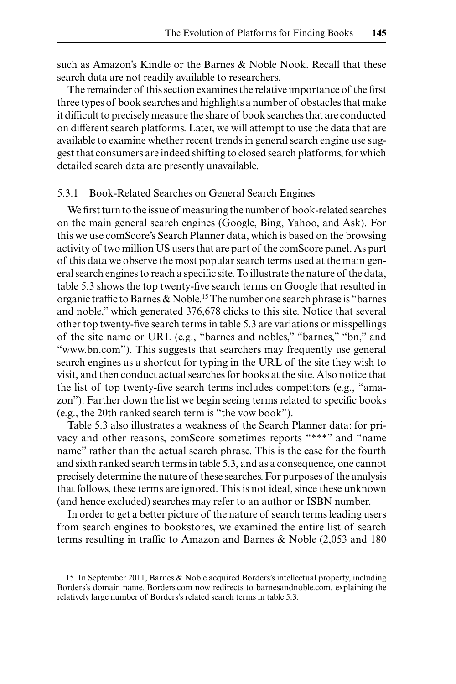such as Amazon's Kindle or the Barnes & Noble Nook. Recall that these search data are not readily available to researchers.

The remainder of this section examines the relative importance of the first three types of book searches and highlights a number of obstacles that make it difficult to precisely measure the share of book searches that are conducted on different search platforms. Later, we will attempt to use the data that are available to examine whether recent trends in general search engine use suggest that consumers are indeed shifting to closed search platforms, for which detailed search data are presently unavailable.

## 5.3.1 Book-Related Searches on General Search Engines

We first turn to the issue of measuring the number of book-related searches on the main general search engines (Google, Bing, Yahoo, and Ask). For this we use comScore's Search Planner data, which is based on the browsing activity of two million US users that are part of the comScore panel. As part of this data we observe the most popular search terms used at the main general search engines to reach a specific site. To illustrate the nature of the data, table 5.3 shows the top twenty-five search terms on Google that resulted in organic traffic to Barnes & Noble.15 The number one search phrase is "barnes and noble," which generated 376,678 clicks to this site. Notice that several other top twenty-five search terms in table 5.3 are variations or misspellings of the site name or URL (e.g., "barnes and nobles," "barnes," "bn," and "www.bn.com"). This suggests that searchers may frequently use general search engines as a shortcut for typing in the URL of the site they wish to visit, and then conduct actual searches for books at the site. Also notice that the list of top twenty-five search terms includes competitors (e.g., "amazon"). Farther down the list we begin seeing terms related to specific books (e.g., the 20th ranked search term is "the vow book").

Table 5.3 also illustrates a weakness of the Search Planner data: for privacy and other reasons, comScore sometimes reports "\*\*\*" and "name name" rather than the actual search phrase. This is the case for the fourth and sixth ranked search terms in table 5.3, and as a consequence, one cannot precisely determine the nature of these searches. For purposes of the analysis that follows, these terms are ignored. This is not ideal, since these unknown (and hence excluded) searches may refer to an author or ISBN number.

In order to get a better picture of the nature of search terms leading users from search engines to bookstores, we examined the entire list of search terms resulting in traffic to Amazon and Barnes & Noble (2,053 and 180

<sup>15.</sup> In September 2011, Barnes & Noble acquired Borders's intellectual property, including Borders's domain name. Borders.com now redirects to barnesandnoble.com, explaining the relatively large number of Borders's related search terms in table 5.3.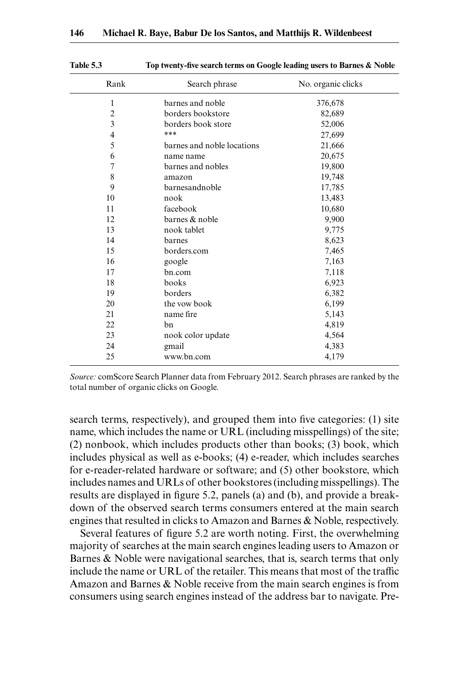| Rank           | Search phrase              | No. organic clicks |
|----------------|----------------------------|--------------------|
| 1              | barnes and noble           | 376,678            |
| $\overline{2}$ | borders bookstore          | 82,689             |
| 3              | borders book store         | 52,006             |
| 4              | ***                        | 27,699             |
| 5              | barnes and noble locations | 21,666             |
| 6              | name name                  | 20,675             |
| 7              | barnes and nobles          | 19,800             |
| 8              | amazon                     | 19,748             |
| 9              | barnesandnoble             | 17,785             |
| 10             | nook                       | 13,483             |
| 11             | facebook                   | 10,680             |
| 12             | barnes & noble             | 9,900              |
| 13             | nook tablet                | 9,775              |
| 14             | barnes                     | 8,623              |
| 15             | borders.com                | 7,465              |
| 16             | google                     | 7,163              |
| 17             | bn.com                     | 7,118              |
| 18             | books                      | 6,923              |
| 19             | borders                    | 6,382              |
| 20             | the vow book               | 6,199              |
| 21             | name fire                  | 5,143              |
| 22             | bn                         | 4,819              |
| 23             | nook color update          | 4,564              |
| 24             | gmail                      | 4,383              |
| 25             | www.bn.com                 | 4,179              |

**Table 5.3 Top twenty-five search terms on Google leading users to Barnes & Noble**

*Source:* comScore Search Planner data from February 2012. Search phrases are ranked by the total number of organic clicks on Google.

search terms, respectively), and grouped them into five categories: (1) site name, which includes the name or URL (including misspellings) of the site; (2) nonbook, which includes products other than books; (3) book, which includes physical as well as e-books; (4) e-reader, which includes searches for e-reader-related hardware or software; and (5) other bookstore, which includes names and URLs of other bookstores (including misspellings). The results are displayed in figure 5.2, panels (a) and (b), and provide a breakdown of the observed search terms consumers entered at the main search engines that resulted in clicks to Amazon and Barnes & Noble, respectively.

Several features of figure 5.2 are worth noting. First, the overwhelming majority of searches at the main search engines leading users to Amazon or Barnes & Noble were navigational searches, that is, search terms that only include the name or URL of the retailer. This means that most of the traffic Amazon and Barnes & Noble receive from the main search engines is from consumers using search engines instead of the address bar to navigate. Pre-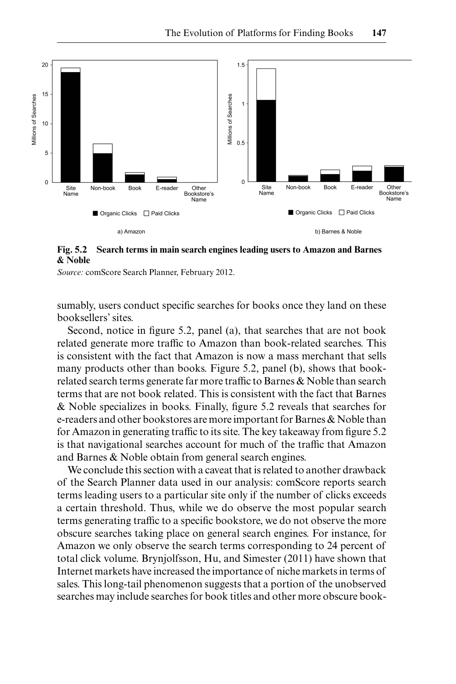

**Fig. 5.2 Search terms in main search engines leading users to Amazon and Barnes & Noble**

*Source:* comScore Search Planner, February 2012.

sumably, users conduct specific searches for books once they land on these booksellers' sites.

Second, notice in figure 5.2, panel (a), that searches that are not book related generate more traffic to Amazon than book-related searches. This is consistent with the fact that Amazon is now a mass merchant that sells many products other than books. Figure 5.2, panel (b), shows that bookrelated search terms generate far more traffic to Barnes & Noble than search terms that are not book related. This is consistent with the fact that Barnes & Noble specializes in books. Finally, figure 5.2 reveals that searches for e-readers and other bookstores are more important for Barnes & Noble than for Amazon in generating traffic to its site. The key takeaway from figure 5.2 is that navigational searches account for much of the traffic that Amazon and Barnes & Noble obtain from general search engines.

We conclude this section with a caveat that is related to another drawback of the Search Planner data used in our analysis: comScore reports search terms leading users to a particular site only if the number of clicks exceeds a certain threshold. Thus, while we do observe the most popular search terms generating traffic to a specific bookstore, we do not observe the more obscure searches taking place on general search engines. For instance, for Amazon we only observe the search terms corresponding to 24 percent of total click volume. Brynjolfsson, Hu, and Simester (2011) have shown that Internet markets have increased the importance of niche markets in terms of sales. This long-tail phenomenon suggests that a portion of the unobserved searches may include searches for book titles and other more obscure book-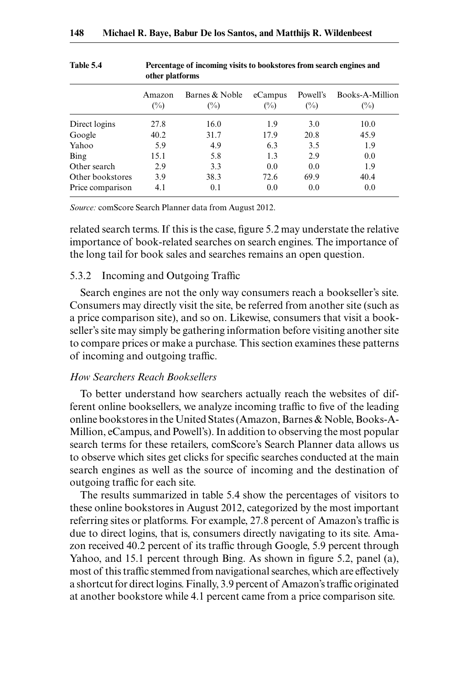|                  | vului plativillis |                                  |                   |                    |                           |
|------------------|-------------------|----------------------------------|-------------------|--------------------|---------------------------|
|                  | Amazon<br>$(\%)$  | Barnes & Noble<br>$\binom{0}{0}$ | eCampus<br>$(\%)$ | Powell's<br>$(\%)$ | Books-A-Million<br>$(\%)$ |
| Direct logins    | 27.8              | 16.0                             | 1.9               | 3.0                | 10.0                      |
| Google           | 40.2              | 31.7                             | 17.9              | 20.8               | 45.9                      |
| Yahoo            | 5.9               | 4.9                              | 6.3               | 3.5                | 1.9                       |
| Bing             | 15.1              | 5.8                              | 1.3               | 2.9                | 0.0                       |
| Other search     | 2.9               | 3.3                              | 0.0               | 0.0                | 1.9                       |
| Other bookstores | 3.9               | 38.3                             | 72.6              | 69.9               | 40.4                      |
| Price comparison | 4.1               | 0.1                              | 0.0               | 0.0                | 0.0                       |

**Table 5.4 Percentage of incoming visits to bookstores from search engines and other platforms**

*Source:* comScore Search Planner data from August 2012.

related search terms. If this is the case, figure 5.2 may understate the relative importance of book-related searches on search engines. The importance of the long tail for book sales and searches remains an open question.

## 5.3.2 Incoming and Outgoing Traffic

Search engines are not the only way consumers reach a bookseller's site. Consumers may directly visit the site, be referred from another site (such as a price comparison site), and so on. Likewise, consumers that visit a bookseller's site may simply be gathering information before visiting another site to compare prices or make a purchase. This section examines these patterns of incoming and outgoing traffic.

## *How Searchers Reach Booksellers*

To better understand how searchers actually reach the websites of different online booksellers, we analyze incoming traffic to five of the leading online bookstores in the United States (Amazon, Barnes & Noble, Books-A-Million, eCampus, and Powell's). In addition to observing the most popular search terms for these retailers, comScore's Search Planner data allows us to observe which sites get clicks for specific searches conducted at the main search engines as well as the source of incoming and the destination of outgoing traffic for each site.

The results summarized in table 5.4 show the percentages of visitors to these online bookstores in August 2012, categorized by the most important referring sites or platforms. For example, 27.8 percent of Amazon's traffic is due to direct logins, that is, consumers directly navigating to its site. Amazon received 40.2 percent of its traffic through Google, 5.9 percent through Yahoo, and 15.1 percent through Bing. As shown in figure 5.2, panel (a), most of this traffic stemmed from navigational searches, which are effectively a shortcut for direct logins. Finally, 3.9 percent of Amazon's traffic originated at another bookstore while 4.1 percent came from a price comparison site.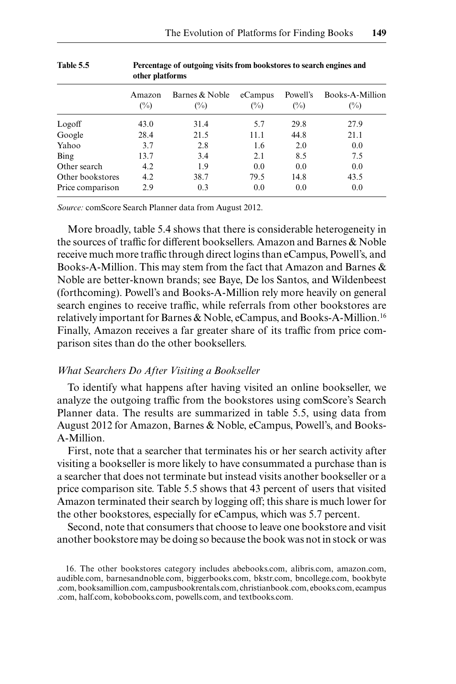|                  | vului plativillis        |                          |                   |                 |                                   |  |
|------------------|--------------------------|--------------------------|-------------------|-----------------|-----------------------------------|--|
|                  | Amazon<br>$\binom{0}{0}$ | Barnes & Noble<br>$(\%)$ | eCampus<br>$(\%)$ | Powell's<br>(%) | Books-A-Million<br>$\binom{0}{0}$ |  |
| Logoff           | 43.0                     | 31.4                     | 5.7               | 29.8            | 27.9                              |  |
| Google           | 28.4                     | 21.5                     | 11.1              | 44.8            | 21.1                              |  |
| Yahoo            | 3.7                      | 2.8                      | 1.6               | 2.0             | 0.0                               |  |
| Bing             | 13.7                     | 3.4                      | 2.1               | 8.5             | 7.5                               |  |
| Other search     | 4.2                      | 1.9                      | 0.0               | 0.0             | 0.0                               |  |
| Other bookstores | 4.2                      | 38.7                     | 79.5              | 14.8            | 43.5                              |  |
| Price comparison | 2.9                      | 0.3                      | 0.0               | 0.0             | 0.0                               |  |

**Table 5.5 Percentage of outgoing visits from bookstores to search engines and other platforms**

*Source:* comScore Search Planner data from August 2012.

More broadly, table 5.4 shows that there is considerable heterogeneity in the sources of traffic for different booksellers. Amazon and Barnes & Noble receive much more traffic through direct logins than eCampus, Powell's, and Books-A-Million. This may stem from the fact that Amazon and Barnes & Noble are better-known brands; see Baye, De los Santos, and Wildenbeest (forthcoming). Powell's and Books-A-Million rely more heavily on general search engines to receive traffic, while referrals from other bookstores are relatively important for Barnes & Noble, eCampus, and Books-A-Million.16 Finally, Amazon receives a far greater share of its traffic from price comparison sites than do the other booksellers.

#### *What Searchers Do After Visiting a Bookseller*

To identify what happens after having visited an online bookseller, we analyze the outgoing traffic from the bookstores using comScore's Search Planner data. The results are summarized in table 5.5, using data from August 2012 for Amazon, Barnes & Noble, eCampus, Powell's, and Books-A-Million.

First, note that a searcher that terminates his or her search activity after visiting a bookseller is more likely to have consummated a purchase than is a searcher that does not terminate but instead visits another bookseller or a price comparison site. Table 5.5 shows that 43 percent of users that visited Amazon terminated their search by logging off; this share is much lower for the other bookstores, especially for eCampus, which was 5.7 percent.

Second, note that consumers that choose to leave one bookstore and visit another bookstore may be doing so because the book was not in stock or was

<sup>16.</sup> The other bookstores category includes abebooks.com, alibris.com, amazon.com, audible.com, barnesandnoble.com, biggerbooks.com, bkstr.com, bncollege.com, bookbyte .com, booksamillion.com, campusbookrentals.com, christianbook.com, ebooks.com, ecampus .com, half.com, kobobooks.com, powells.com, and textbooks.com.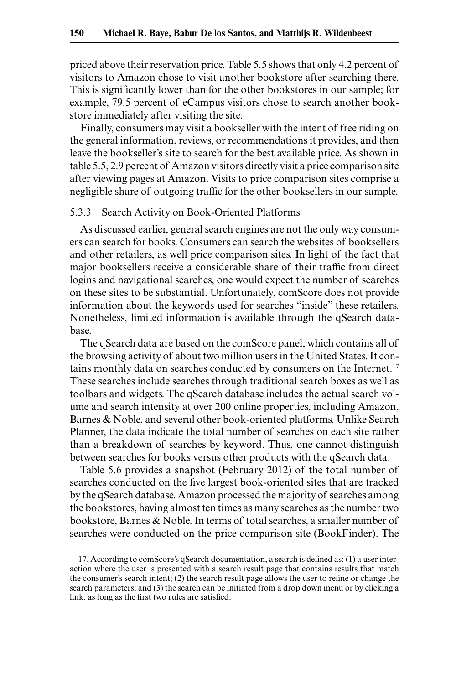priced above their reservation price. Table 5.5 shows that only 4.2 percent of visitors to Amazon chose to visit another bookstore after searching there. This is significantly lower than for the other bookstores in our sample; for example, 79.5 percent of eCampus visitors chose to search another bookstore immediately after visiting the site.

Finally, consumers may visit a bookseller with the intent of free riding on the general information, reviews, or recommendations it provides, and then leave the bookseller's site to search for the best available price. As shown in table 5.5, 2.9 percent of Amazon visitors directly visit a price comparison site after viewing pages at Amazon. Visits to price comparison sites comprise a negligible share of outgoing traffic for the other booksellers in our sample.

## 5.3.3 Search Activity on Book-Oriented Platforms

As discussed earlier, general search engines are not the only way consumers can search for books. Consumers can search the websites of booksellers and other retailers, as well price comparison sites. In light of the fact that major booksellers receive a considerable share of their traffic from direct logins and navigational searches, one would expect the number of searches on these sites to be substantial. Unfortunately, comScore does not provide information about the keywords used for searches "inside" these retailers. Nonetheless, limited information is available through the qSearch database.

The qSearch data are based on the comScore panel, which contains all of the browsing activity of about two million users in the United States. It contains monthly data on searches conducted by consumers on the Internet.17 These searches include searches through traditional search boxes as well as toolbars and widgets. The qSearch database includes the actual search volume and search intensity at over 200 online properties, including Amazon, Barnes & Noble, and several other book-oriented platforms. Unlike Search Planner, the data indicate the total number of searches on each site rather than a breakdown of searches by keyword. Thus, one cannot distinguish between searches for books versus other products with the qSearch data.

Table 5.6 provides a snapshot (February 2012) of the total number of searches conducted on the five largest book-oriented sites that are tracked by the qSearch database. Amazon processed the majority of searches among the bookstores, having almost ten times as many searches as the number two bookstore, Barnes & Noble. In terms of total searches, a smaller number of searches were conducted on the price comparison site (BookFinder). The

<sup>17.</sup> According to comScore's qSearch documentation, a search is defined as: (1) a user interaction where the user is presented with a search result page that contains results that match the consumer's search intent; (2) the search result page allows the user to refine or change the search parameters; and (3) the search can be initiated from a drop down menu or by clicking a link, as long as the first two rules are satisfied.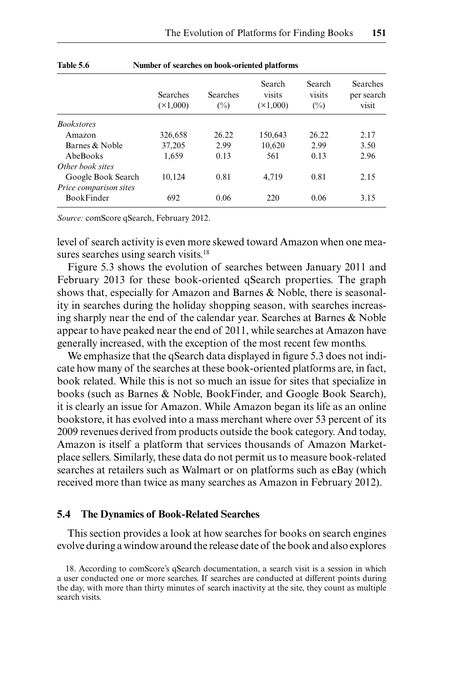|                        | <b>Searches</b><br>$(\times1,000)$ | <b>Searches</b><br>$(\%)$ | Search<br>visits<br>$(\times 1,000)$ | Search<br>visits<br>$\binom{0}{0}$ | Searches<br>per search<br>visit |
|------------------------|------------------------------------|---------------------------|--------------------------------------|------------------------------------|---------------------------------|
| <b>Bookstores</b>      |                                    |                           |                                      |                                    |                                 |
| Amazon                 | 326,658                            | 26.22                     | 150,643                              | 26.22                              | 2.17                            |
| Barnes & Noble         | 37,205                             | 2.99                      | 10,620                               | 2.99                               | 3.50                            |
| AbeBooks               | 1,659                              | 0.13                      | 561                                  | 0.13                               | 2.96                            |
| Other book sites       |                                    |                           |                                      |                                    |                                 |
| Google Book Search     | 10,124                             | 0.81                      | 4,719                                | 0.81                               | 2.15                            |
| Price comparison sites |                                    |                           |                                      |                                    |                                 |
| <b>BookFinder</b>      | 692                                | 0.06                      | 220                                  | 0.06                               | 3.15                            |

#### **Table 5.6 Number of searches on book-oriented platforms**

*Source:* comScore qSearch, February 2012.

level of search activity is even more skewed toward Amazon when one measures searches using search visits.<sup>18</sup>

Figure 5.3 shows the evolution of searches between January 2011 and February 2013 for these book-oriented qSearch properties. The graph shows that, especially for Amazon and Barnes & Noble, there is seasonality in searches during the holiday shopping season, with searches increasing sharply near the end of the calendar year. Searches at Barnes & Noble appear to have peaked near the end of 2011, while searches at Amazon have generally increased, with the exception of the most recent few months.

We emphasize that the qSearch data displayed in figure 5.3 does not indicate how many of the searches at these book-oriented platforms are, in fact, book related. While this is not so much an issue for sites that specialize in books (such as Barnes & Noble, BookFinder, and Google Book Search), it is clearly an issue for Amazon. While Amazon began its life as an online bookstore, it has evolved into a mass merchant where over 53 percent of its 2009 revenues derived from products outside the book category. And today, Amazon is itself a platform that services thousands of Amazon Marketplace sellers. Similarly, these data do not permit us to measure book-related searches at retailers such as Walmart or on platforms such as eBay (which received more than twice as many searches as Amazon in February 2012).

#### **5.4 The Dynamics of Book-Related Searches**

This section provides a look at how searches for books on search engines evolve during a window around the release date of the book and also explores

<sup>18.</sup> According to comScore's qSearch documentation, a search visit is a session in which a user conducted one or more searches. If searches are conducted at different points during the day, with more than thirty minutes of search inactivity at the site, they count as multiple search visits.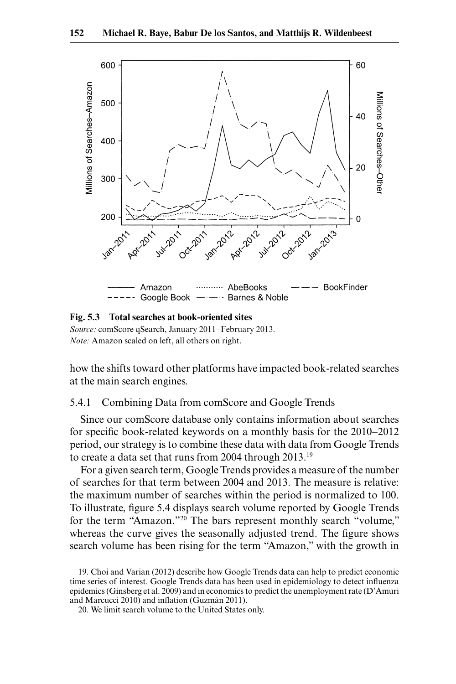

**Fig. 5.3 Total searches at book-oriented sites**

*Source:* comScore qSearch, January 2011–February 2013. *Note:* Amazon scaled on left, all others on right.

how the shifts toward other platforms have impacted book-related searches at the main search engines.

## 5.4.1 Combining Data from comScore and Google Trends

Since our comScore database only contains information about searches for specific book-related keywords on a monthly basis for the 2010–2012 period, our strategy is to combine these data with data from Google Trends to create a data set that runs from 2004 through 2013.19

For a given search term, Google Trends provides a measure of the number of searches for that term between 2004 and 2013. The measure is relative: the maximum number of searches within the period is normalized to 100. To illustrate, figure 5.4 displays search volume reported by Google Trends for the term "Amazon."20 The bars represent monthly search "volume," whereas the curve gives the seasonally adjusted trend. The figure shows search volume has been rising for the term "Amazon," with the growth in

<sup>19.</sup> Choi and Varian (2012) describe how Google Trends data can help to predict economic time series of interest. Google Trends data has been used in epidemiology to detect influenza epidemics (Ginsberg et al. 2009) and in economics to predict the unemployment rate (D'Amuri and Marcucci 2010) and inflation (Guzmán 2011).

<sup>20.</sup> We limit search volume to the United States only.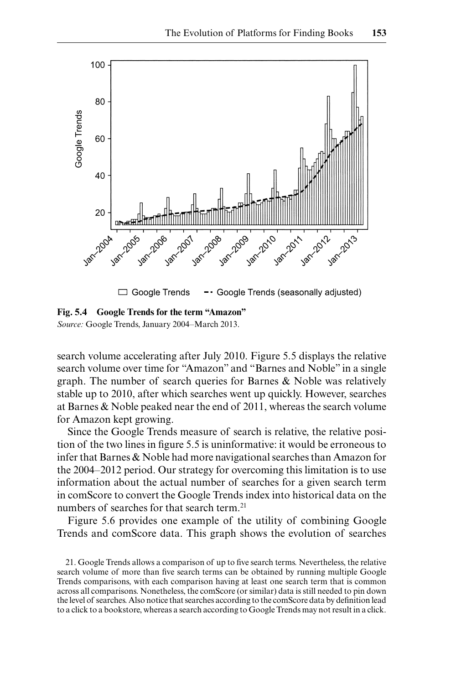

**Fig. 5.4 Google Trends for the term "Amazon"** *Source:* Google Trends, January 2004–March 2013.

search volume accelerating after July 2010. Figure 5.5 displays the relative search volume over time for "Amazon" and "Barnes and Noble" in a single graph. The number of search queries for Barnes & Noble was relatively stable up to 2010, after which searches went up quickly. However, searches at Barnes & Noble peaked near the end of 2011, whereas the search volume for Amazon kept growing.

Since the Google Trends measure of search is relative, the relative position of the two lines in figure 5.5 is uninformative: it would be erroneous to infer that Barnes & Noble had more navigational searches than Amazon for the 2004–2012 period. Our strategy for overcoming this limitation is to use information about the actual number of searches for a given search term in comScore to convert the Google Trends index into historical data on the numbers of searches for that search term.<sup>21</sup>

Figure 5.6 provides one example of the utility of combining Google Trends and comScore data. This graph shows the evolution of searches

<sup>21.</sup> Google Trends allows a comparison of up to five search terms. Nevertheless, the relative search volume of more than five search terms can be obtained by running multiple Google Trends comparisons, with each comparison having at least one search term that is common across all comparisons. Nonetheless, the comScore (or similar) data is still needed to pin down the level of searches. Also notice that searches according to the comScore data by definition lead to a click to a bookstore, whereas a search according to Google Trends may not result in a click.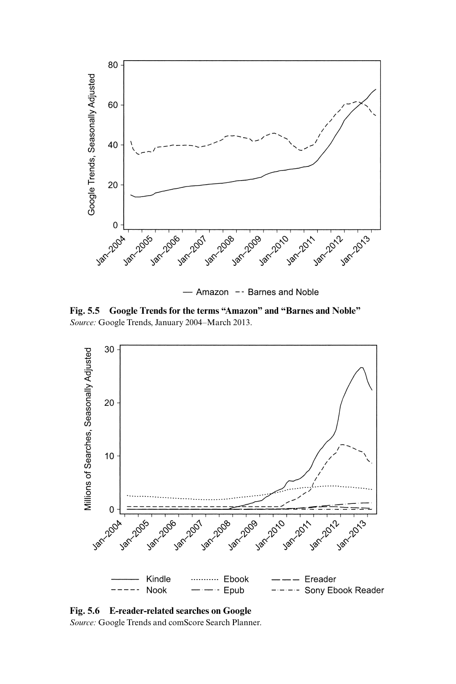

- Amazon - Barnes and Noble

**Fig. 5.5 Google Trends for the terms "Amazon" and "Barnes and Noble"** *Source:* Google Trends, January 2004–March 2013.



**Fig. 5.6 E-reader-related searches on Google** *Source:* Google Trends and comScore Search Planner.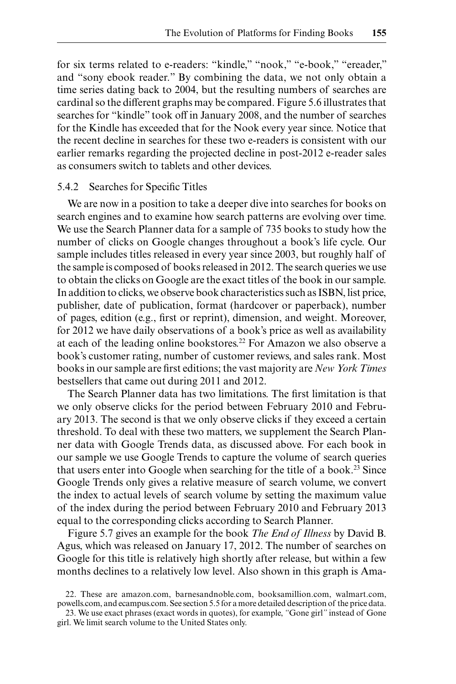for six terms related to e-readers: "kindle," "nook," "e-book," "ereader," and "sony ebook reader." By combining the data, we not only obtain a time series dating back to 2004, but the resulting numbers of searches are cardinal so the different graphs may be compared. Figure 5.6 illustrates that searches for "kindle" took off in January 2008, and the number of searches for the Kindle has exceeded that for the Nook every year since. Notice that the recent decline in searches for these two e-readers is consistent with our earlier remarks regarding the projected decline in post-2012 e-reader sales as consumers switch to tablets and other devices.

## 5.4.2 Searches for Specific Titles

We are now in a position to take a deeper dive into searches for books on search engines and to examine how search patterns are evolving over time. We use the Search Planner data for a sample of 735 books to study how the number of clicks on Google changes throughout a book's life cycle. Our sample includes titles released in every year since 2003, but roughly half of the sample is composed of books released in 2012. The search queries we use to obtain the clicks on Google are the exact titles of the book in our sample. In addition to clicks, we observe book characteristics such as ISBN, list price, publisher, date of publication, format (hardcover or paperback), number of pages, edition (e.g., first or reprint), dimension, and weight. Moreover, for 2012 we have daily observations of a book's price as well as availability at each of the leading online bookstores.<sup>22</sup> For Amazon we also observe a book's customer rating, number of customer reviews, and sales rank. Most books in our sample are first editions; the vast majority are *New York Times* bestsellers that came out during 2011 and 2012.

The Search Planner data has two limitations. The first limitation is that we only observe clicks for the period between February 2010 and February 2013. The second is that we only observe clicks if they exceed a certain threshold. To deal with these two matters, we supplement the Search Planner data with Google Trends data, as discussed above. For each book in our sample we use Google Trends to capture the volume of search queries that users enter into Google when searching for the title of a book.23 Since Google Trends only gives a relative measure of search volume, we convert the index to actual levels of search volume by setting the maximum value of the index during the period between February 2010 and February 2013 equal to the corresponding clicks according to Search Planner.

Figure 5.7 gives an example for the book *The End of Illness* by David B. Agus, which was released on January 17, 2012. The number of searches on Google for this title is relatively high shortly after release, but within a few months declines to a relatively low level. Also shown in this graph is Ama-

<sup>22.</sup> These are amazon.com, barnesandnoble.com, booksamillion.com, walmart.com, powells.com, and ecampus.com. See section 5.5 for a more detailed description of the price data.

<sup>23.</sup> We use exact phrases (exact words in quotes), for example, *"*Gone girl*"* instead of Gone girl. We limit search volume to the United States only.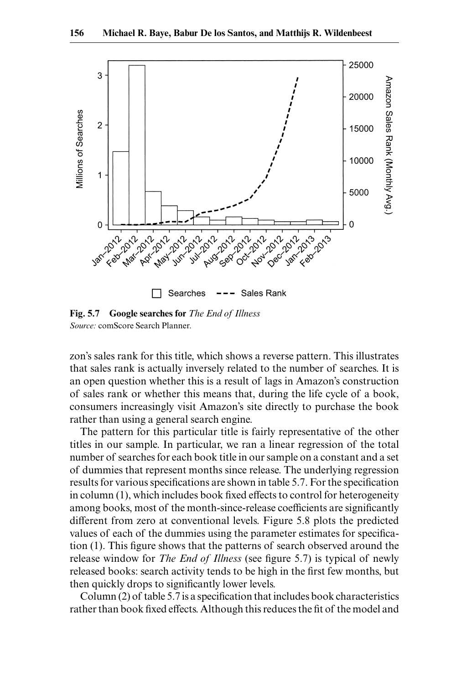

**Fig. 5.7 Google searches for** *The End of Illness Source:* comScore Search Planner.

zon's sales rank for this title, which shows a reverse pattern. This illustrates that sales rank is actually inversely related to the number of searches. It is an open question whether this is a result of lags in Amazon's construction of sales rank or whether this means that, during the life cycle of a book, consumers increasingly visit Amazon's site directly to purchase the book rather than using a general search engine.

The pattern for this particular title is fairly representative of the other titles in our sample. In particular, we ran a linear regression of the total number of searches for each book title in our sample on a constant and a set of dummies that represent months since release. The underlying regression results for various specifications are shown in table 5.7. For the specification in column (1), which includes book fixed effects to control for heterogeneity among books, most of the month-since-release coefficients are significantly different from zero at conventional levels. Figure 5.8 plots the predicted values of each of the dummies using the parameter estimates for specification (1). This figure shows that the patterns of search observed around the release window for *The End of Illness* (see figure 5.7) is typical of newly released books: search activity tends to be high in the first few months, but then quickly drops to significantly lower levels.

Column (2) of table 5.7 is a specification that includes book characteristics rather than book fixed effects. Although this reduces the fit of the model and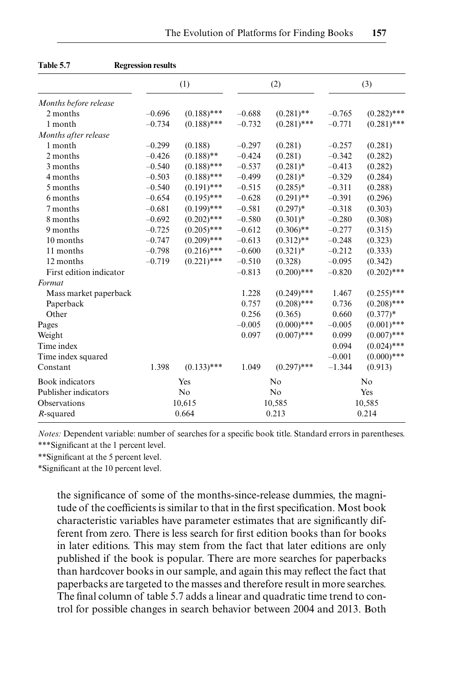|                         |          | (1)            |          | (2)            |          | (3)           |
|-------------------------|----------|----------------|----------|----------------|----------|---------------|
| Months before release   |          |                |          |                |          |               |
| 2 months                | $-0.696$ | $(0.188)$ ***  | $-0.688$ | $(0.281)$ **   | $-0.765$ | $(0.282)$ *** |
| 1 month                 | $-0.734$ | $(0.188)$ ***  | $-0.732$ | $(0.281)$ ***  | $-0.771$ | $(0.281)$ *** |
| Months after release    |          |                |          |                |          |               |
| 1 month                 | $-0.299$ | (0.188)        | $-0.297$ | (0.281)        | $-0.257$ | (0.281)       |
| 2 months                | $-0.426$ | $(0.188)$ **   | $-0.424$ | (0.281)        | $-0.342$ | (0.282)       |
| 3 months                | $-0.540$ | $(0.188)$ ***  | $-0.537$ | $(0.281)$ *    | $-0.413$ | (0.282)       |
| 4 months                | $-0.503$ | $(0.188)$ ***  | $-0.499$ | $(0.281)$ *    | $-0.329$ | (0.284)       |
| 5 months                | $-0.540$ | $(0.191)$ ***  | $-0.515$ | $(0.285)*$     | $-0.311$ | (0.288)       |
| 6 months                | $-0.654$ | $(0.195)$ ***  | $-0.628$ | $(0.291)$ **   | $-0.391$ | (0.296)       |
| 7 months                | $-0.681$ | $(0.199)$ ***  | $-0.581$ | $(0.297)*$     | $-0.318$ | (0.303)       |
| 8 months                | $-0.692$ | $(0.202)$ ***  | $-0.580$ | $(0.301)^*$    | $-0.280$ | (0.308)       |
| 9 months                | $-0.725$ | $(0.205)$ ***  | $-0.612$ | $(0.306)$ **   | $-0.277$ | (0.315)       |
| 10 months               | $-0.747$ | $(0.209)$ ***  | $-0.613$ | $(0.312)$ **   | $-0.248$ | (0.323)       |
| 11 months               | $-0.798$ | $(0.216)$ ***  | $-0.600$ | $(0.321)$ *    | $-0.212$ | (0.333)       |
| 12 months               | $-0.719$ | $(0.221)$ ***  | $-0.510$ | (0.328)        | $-0.095$ | (0.342)       |
| First edition indicator |          |                | $-0.813$ | $(0.200)$ ***  | $-0.820$ | $(0.202)$ *** |
| Format                  |          |                |          |                |          |               |
| Mass market paperback   |          |                | 1.228    | $(0.249)$ ***  | 1.467    | $(0.255)$ *** |
| Paperback               |          |                | 0.757    | $(0.208)$ ***  | 0.736    | $(0.208)$ *** |
| Other                   |          |                | 0.256    | (0.365)        | 0.660    | $(0.377)*$    |
| Pages                   |          |                | $-0.005$ | $(0.000)$ ***  | $-0.005$ | $(0.001)$ *** |
| Weight                  |          |                | 0.097    | $(0.007)$ ***  | 0.099    | $(0.007)$ *** |
| Time index              |          |                |          |                | 0.094    | $(0.024)$ *** |
| Time index squared      |          |                |          |                | $-0.001$ | $(0.000)$ *** |
| Constant                | 1.398    | $(0.133)$ ***  | 1.049    | $(0.297)$ ***  | $-1.344$ | (0.913)       |
| Book indicators         |          | Yes            |          | No             |          | No            |
| Publisher indicators    |          | N <sub>o</sub> |          | N <sub>o</sub> |          | Yes           |
| Observations            |          | 10,615         |          | 10,585         |          | 10,585        |
| $R$ -squared            |          | 0.664          |          | 0.213          |          | 0.214         |

| <b>Table 5.7</b> | <b>Regression results</b> |
|------------------|---------------------------|
|------------------|---------------------------|

*Notes:* Dependent variable: number of searches for a specific book title. Standard errors in parentheses. \*\*\*Significant at the 1 percent level.

\*\*Significant at the 5 percent level.

\*Significant at the 10 percent level.

the significance of some of the months-since-release dummies, the magnitude of the coefficients is similar to that in the first specification. Most book characteristic variables have parameter estimates that are significantly different from zero. There is less search for first edition books than for books in later editions. This may stem from the fact that later editions are only published if the book is popular. There are more searches for paperbacks than hardcover books in our sample, and again this may reflect the fact that paperbacks are targeted to the masses and therefore result in more searches. The final column of table 5.7 adds a linear and quadratic time trend to control for possible changes in search behavior between 2004 and 2013. Both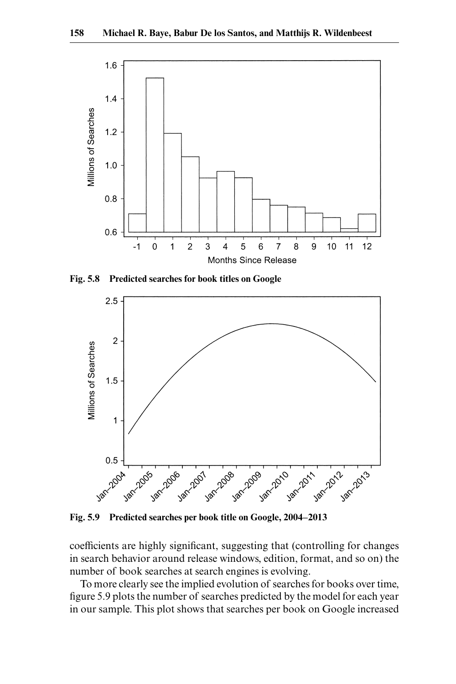

**Fig. 5.8 Predicted searches for book titles on Google**



**Fig. 5.9 Predicted searches per book title on Google, 2004–2013**

coefficients are highly significant, suggesting that (controlling for changes in search behavior around release windows, edition, format, and so on) the number of book searches at search engines is evolving.

To more clearly see the implied evolution of searches for books over time, figure 5.9 plots the number of searches predicted by the model for each year in our sample. This plot shows that searches per book on Google increased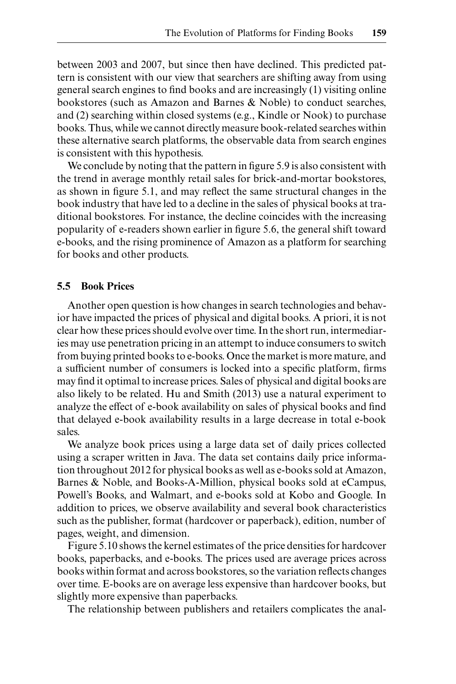between 2003 and 2007, but since then have declined. This predicted pattern is consistent with our view that searchers are shifting away from using general search engines to find books and are increasingly (1) visiting online bookstores (such as Amazon and Barnes & Noble) to conduct searches, and (2) searching within closed systems (e.g., Kindle or Nook) to purchase books. Thus, while we cannot directly measure book-related searches within these alternative search platforms, the observable data from search engines is consistent with this hypothesis.

We conclude by noting that the pattern in figure 5.9 is also consistent with the trend in average monthly retail sales for brick-and-mortar bookstores, as shown in figure 5.1, and may reflect the same structural changes in the book industry that have led to a decline in the sales of physical books at traditional bookstores. For instance, the decline coincides with the increasing popularity of e-readers shown earlier in figure 5.6, the general shift toward e-books, and the rising prominence of Amazon as a platform for searching for books and other products.

## **5.5 Book Prices**

Another open question is how changes in search technologies and behavior have impacted the prices of physical and digital books. A priori, it is not clear how these prices should evolve over time. In the short run, intermediaries may use penetration pricing in an attempt to induce consumers to switch from buying printed books to e-books. Once the market is more mature, and a sufficient number of consumers is locked into a specific platform, firms may find it optimal to increase prices. Sales of physical and digital books are also likely to be related. Hu and Smith (2013) use a natural experiment to analyze the effect of e-book availability on sales of physical books and find that delayed e-book availability results in a large decrease in total e-book sales.

We analyze book prices using a large data set of daily prices collected using a scraper written in Java. The data set contains daily price information throughout 2012 for physical books as well as e-books sold at Amazon, Barnes & Noble, and Books-A-Million, physical books sold at eCampus, Powell's Books, and Walmart, and e-books sold at Kobo and Google. In addition to prices, we observe availability and several book characteristics such as the publisher, format (hardcover or paperback), edition, number of pages, weight, and dimension.

Figure 5.10 shows the kernel estimates of the price densities for hardcover books, paperbacks, and e-books. The prices used are average prices across books within format and across bookstores, so the variation reflects changes over time. E-books are on average less expensive than hardcover books, but slightly more expensive than paperbacks.

The relationship between publishers and retailers complicates the anal-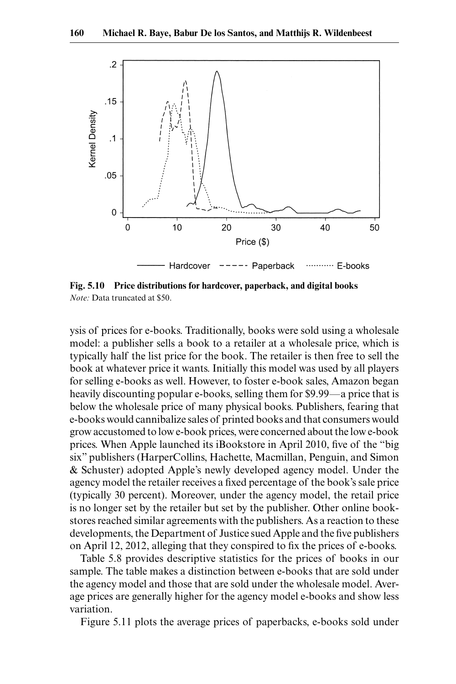

**Fig. 5.10 Price distributions for hardcover, paperback, and digital books** *Note:* Data truncated at \$50.

ysis of prices for e-books. Traditionally, books were sold using a wholesale model: a publisher sells a book to a retailer at a wholesale price, which is typically half the list price for the book. The retailer is then free to sell the book at whatever price it wants. Initially this model was used by all players for selling e-books as well. However, to foster e-book sales, Amazon began heavily discounting popular e-books, selling them for \$9.99—a price that is below the wholesale price of many physical books. Publishers, fearing that e-books would cannibalize sales of printed books and that consumers would grow accustomed to low e-book prices, were concerned about the low e-book prices. When Apple launched its iBookstore in April 2010, five of the "big six" publishers (HarperCollins, Hachette, Macmillan, Penguin, and Simon & Schuster) adopted Apple's newly developed agency model. Under the agency model the retailer receives a fixed percentage of the book's sale price (typically 30 percent). Moreover, under the agency model, the retail price is no longer set by the retailer but set by the publisher. Other online bookstores reached similar agreements with the publishers. As a reaction to these developments, the Department of Justice sued Apple and the five publishers on April 12, 2012, alleging that they conspired to fix the prices of e-books.

Table 5.8 provides descriptive statistics for the prices of books in our sample. The table makes a distinction between e-books that are sold under the agency model and those that are sold under the wholesale model. Average prices are generally higher for the agency model e-books and show less variation.

Figure 5.11 plots the average prices of paperbacks, e-books sold under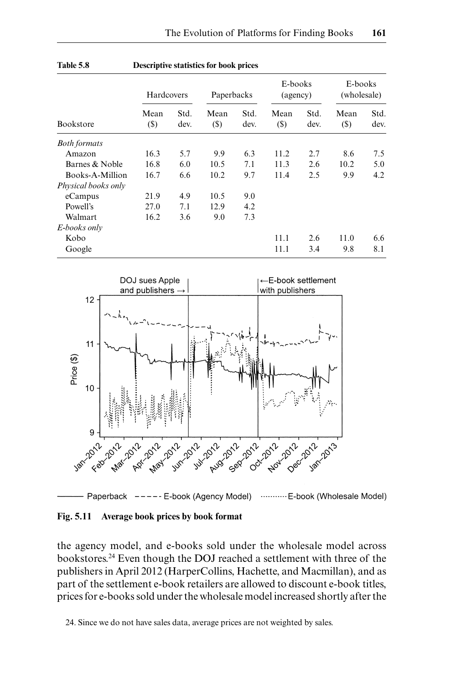|                     | Hardcovers     |              | Paperbacks    |              | E-books<br>(agency) |              | E-books<br>(wholesale) |              |
|---------------------|----------------|--------------|---------------|--------------|---------------------|--------------|------------------------|--------------|
| Bookstore           | Mean<br>$(\$)$ | Std.<br>dev. | Mean<br>$(S)$ | Std.<br>dev. | Mean<br>(S)         | Std.<br>dev. | Mean<br>$(\$)$         | Std.<br>dev. |
| <b>Both formats</b> |                |              |               |              |                     |              |                        |              |
| Amazon              | 16.3           | 5.7          | 9.9           | 6.3          | 11.2                | 2.7          | 8.6                    | 7.5          |
| Barnes & Noble      | 16.8           | 6.0          | 10.5          | 7.1          | 11.3                | 2.6          | 10.2                   | 5.0          |
| Books-A-Million     | 16.7           | 6.6          | 10.2          | 9.7          | 11.4                | 2.5          | 9.9                    | 4.2          |
| Physical books only |                |              |               |              |                     |              |                        |              |
| eCampus             | 21.9           | 4.9          | 10.5          | 9.0          |                     |              |                        |              |
| Powell's            | 27.0           | 7.1          | 12.9          | 4.2          |                     |              |                        |              |
| Walmart             | 16.2           | 3.6          | 9.0           | 7.3          |                     |              |                        |              |
| E-books only        |                |              |               |              |                     |              |                        |              |
| Kobo                |                |              |               |              | 11.1                | 2.6          | 11.0                   | 6.6          |
| Google              |                |              |               |              | 11.1                | 3.4          | 9.8                    | 8.1          |





Paperback ----- E-book (Agency Model) ........... E-book (Wholesale Model)

## **Fig. 5.11 Average book prices by book format**

the agency model, and e-books sold under the wholesale model across bookstores.24 Even though the DOJ reached a settlement with three of the publishers in April 2012 (HarperCollins, Hachette, and Macmillan), and as part of the settlement e-book retailers are allowed to discount e-book titles, prices for e-books sold under the wholesale model increased shortly after the

24. Since we do not have sales data, average prices are not weighted by sales.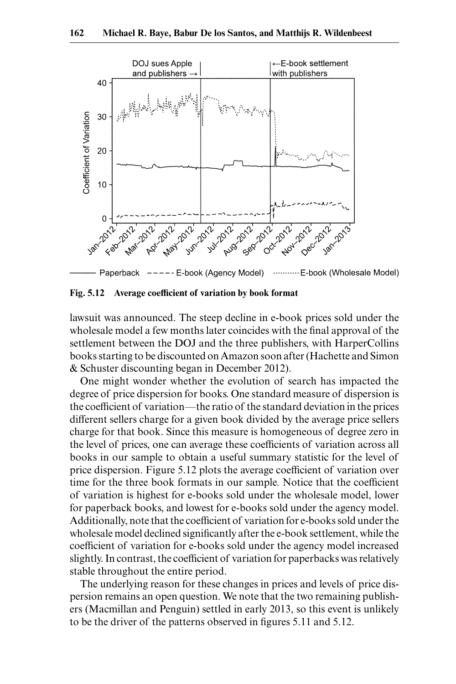

**Fig. 5.12 Average coefficient of variation by book format**

lawsuit was announced. The steep decline in e-book prices sold under the wholesale model a few months later coincides with the final approval of the settlement between the DOJ and the three publishers, with HarperCollins books starting to be discounted on Amazon soon after (Hachette and Simon & Schuster discounting began in December 2012).

One might wonder whether the evolution of search has impacted the degree of price dispersion for books. One standard measure of dispersion is the coefficient of variation—the ratio of the standard deviation in the prices different sellers charge for a given book divided by the average price sellers charge for that book. Since this measure is homogeneous of degree zero in the level of prices, one can average these coefficients of variation across all books in our sample to obtain a useful summary statistic for the level of price dispersion. Figure 5.12 plots the average coefficient of variation over time for the three book formats in our sample. Notice that the coefficient of variation is highest for e-books sold under the wholesale model, lower for paperback books, and lowest for e-books sold under the agency model. Additionally, note that the coefficient of variation for e-books sold under the wholesale model declined significantly after the e-book settlement, while the coefficient of variation for e-books sold under the agency model increased slightly. In contrast, the coefficient of variation for paperbacks was relatively stable throughout the entire period.

The underlying reason for these changes in prices and levels of price dispersion remains an open question. We note that the two remaining publishers (Macmillan and Penguin) settled in early 2013, so this event is unlikely to be the driver of the patterns observed in figures 5.11 and 5.12.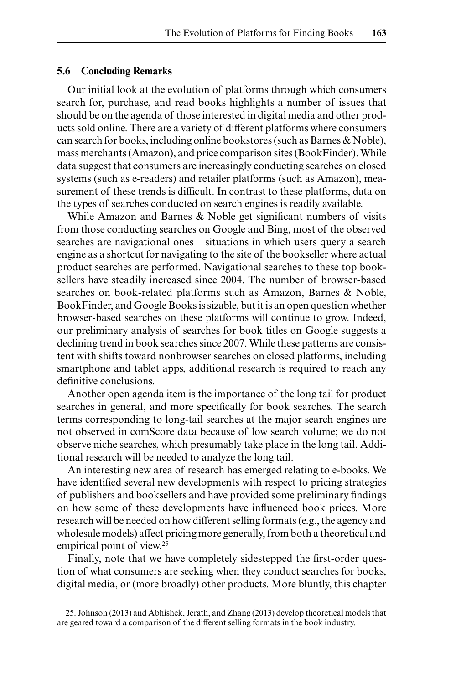## **5.6 Concluding Remarks**

Our initial look at the evolution of platforms through which consumers search for, purchase, and read books highlights a number of issues that should be on the agenda of those interested in digital media and other products sold online. There are a variety of different platforms where consumers can search for books, including online bookstores (such as Barnes & Noble), mass merchants (Amazon), and price comparison sites (BookFinder). While data suggest that consumers are increasingly conducting searches on closed systems (such as e-readers) and retailer platforms (such as Amazon), measurement of these trends is difficult. In contrast to these platforms, data on the types of searches conducted on search engines is readily available.

While Amazon and Barnes & Noble get significant numbers of visits from those conducting searches on Google and Bing, most of the observed searches are navigational ones—situations in which users query a search engine as a shortcut for navigating to the site of the bookseller where actual product searches are performed. Navigational searches to these top booksellers have steadily increased since 2004. The number of browser-based searches on book-related platforms such as Amazon, Barnes & Noble, BookFinder, and Google Books is sizable, but it is an open question whether browser-based searches on these platforms will continue to grow. Indeed, our preliminary analysis of searches for book titles on Google suggests a declining trend in book searches since 2007. While these patterns are consistent with shifts toward nonbrowser searches on closed platforms, including smartphone and tablet apps, additional research is required to reach any definitive conclusions.

Another open agenda item is the importance of the long tail for product searches in general, and more specifically for book searches. The search terms corresponding to long-tail searches at the major search engines are not observed in comScore data because of low search volume; we do not observe niche searches, which presumably take place in the long tail. Additional research will be needed to analyze the long tail.

An interesting new area of research has emerged relating to e-books. We have identified several new developments with respect to pricing strategies of publishers and booksellers and have provided some preliminary findings on how some of these developments have influenced book prices. More research will be needed on how different selling formats (e.g., the agency and wholesale models) affect pricing more generally, from both a theoretical and empirical point of view.<sup>25</sup>

Finally, note that we have completely sidestepped the first-order question of what consumers are seeking when they conduct searches for books, digital media, or (more broadly) other products. More bluntly, this chapter

25. Johnson (2013) and Abhishek, Jerath, and Zhang (2013) develop theoretical models that are geared toward a comparison of the different selling formats in the book industry.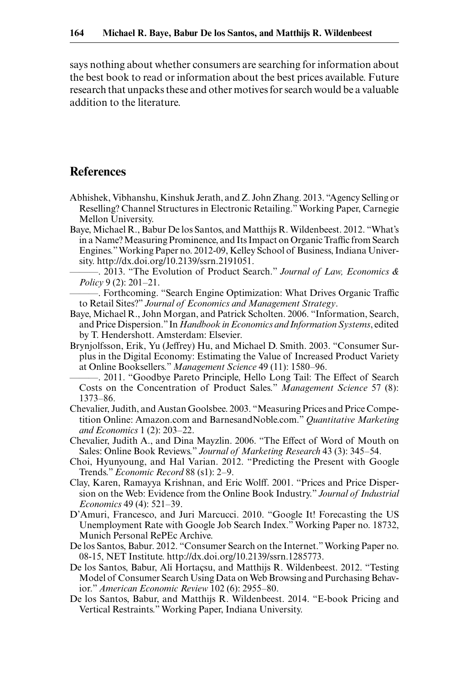says nothing about whether consumers are searching for information about the best book to read or information about the best prices available. Future research that unpacks these and other motives for search would be a valuable addition to the literature.

# **References**

- Abhishek, Vibhanshu, Kinshuk Jerath, and Z. John Zhang. 2013. "Agency Selling or Reselling? Channel Structures in Electronic Retailing." Working Paper, Carnegie Mellon University.
- Baye, Michael R., Babur De los Santos, and Matthijs R. Wildenbeest. 2012. "What's in a Name? Measuring Prominence, and Its Impact on Organic Traffic from Search Engines." Working Paper no. 2012-09, Kelley School of Business, Indiana University. http://dx.doi.org/10.2139/ssrn.2191051.
- ———. 2013. "The Evolution of Product Search." *Journal of Law, Economics & Policy* 9 (2): 201–21.
- ———. Forthcoming. "Search Engine Optimization: What Drives Organic Traffic to Retail Sites?" *Journal of Economics and Management Strategy*.
- Baye, Michael R., John Morgan, and Patrick Scholten. 2006. "Information, Search, and Price Dispersion." In *Handbook in Economics and Information Systems*, edited by T. Hendershott. Amsterdam: Elsevier.
- Brynjolfsson, Erik, Yu (Jeffrey) Hu, and Michael D. Smith. 2003. "Consumer Surplus in the Digital Economy: Estimating the Value of Increased Product Variety at Online Booksellers." *Management Science* 49 (11): 1580–96.
	- ———. 2011. "Goodbye Pareto Principle, Hello Long Tail: The Effect of Search Costs on the Concentration of Product Sales." *Management Science* 57 (8): 1373–86.
- Chevalier, Judith, and Austan Goolsbee. 2003. "Measuring Prices and Price Competition Online: Amazon.com and BarnesandNoble.com." *Quantitative Marketing and Economics* 1 (2): 203–22.
- Chevalier, Judith A., and Dina Mayzlin. 2006. "The Effect of Word of Mouth on Sales: Online Book Reviews." *Journal of Marketing Research* 43 (3): 345–54.
- Choi, Hyunyoung, and Hal Varian. 2012. "Predicting the Present with Google Trends." *Economic Record* 88 (s1): 2–9.
- Clay, Karen, Ramayya Krishnan, and Eric Wolff. 2001. "Prices and Price Dispersion on the Web: Evidence from the Online Book Industry." *Journal of Industrial Economics* 49 (4): 521–39.
- D'Amuri, Francesco, and Juri Marcucci. 2010. "Google It! Forecasting the US Unemployment Rate with Google Job Search Index." Working Paper no. 18732, Munich Personal RePEc Archive.
- De los Santos, Babur. 2012. "Consumer Search on the Internet." Working Paper no. 08-15, NET Institute. http://dx.doi.org/10.2139/ssrn.1285773.
- De los Santos, Babur, Ali Hortaçsu, and Matthijs R. Wildenbeest. 2012. "Testing Model of Consumer Search Using Data on Web Browsing and Purchasing Behavior." *American Economic Review* 102 (6): 2955–80.
- De los Santos, Babur, and Matthijs R. Wildenbeest. 2014. "E-book Pricing and Vertical Restraints." Working Paper, Indiana University.